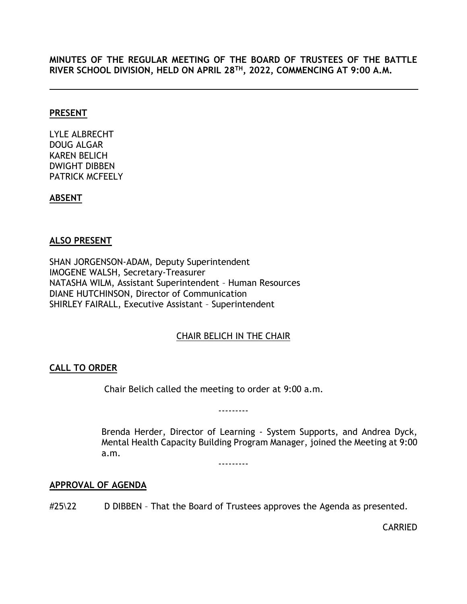**MINUTES OF THE REGULAR MEETING OF THE BOARD OF TRUSTEES OF THE BATTLE RIVER SCHOOL DIVISION, HELD ON APRIL 28TH, 2022, COMMENCING AT 9:00 A.M.**

#### **PRESENT**

LYLE ALBRECHT DOUG ALGAR KAREN BELICH DWIGHT DIBBEN PATRICK MCFEELY

## **ABSENT**

## **ALSO PRESENT**

SHAN JORGENSON-ADAM, Deputy Superintendent IMOGENE WALSH, Secretary-Treasurer NATASHA WILM, Assistant Superintendent – Human Resources DIANE HUTCHINSON, Director of Communication SHIRLEY FAIRALL, Executive Assistant – Superintendent

# CHAIR BELICH IN THE CHAIR

# <span id="page-0-0"></span>**CALL TO ORDER**

Chair Belich called the meeting to order at 9:00 a.m.

---------

Brenda Herder, Director of Learning - System Supports, and Andrea Dyck, Mental Health Capacity Building Program Manager, joined the Meeting at 9:00 a.m.

---------

## <span id="page-0-1"></span>**APPROVAL OF AGENDA**

#25\22 D DIBBEN - That the Board of Trustees approves the Agenda as presented.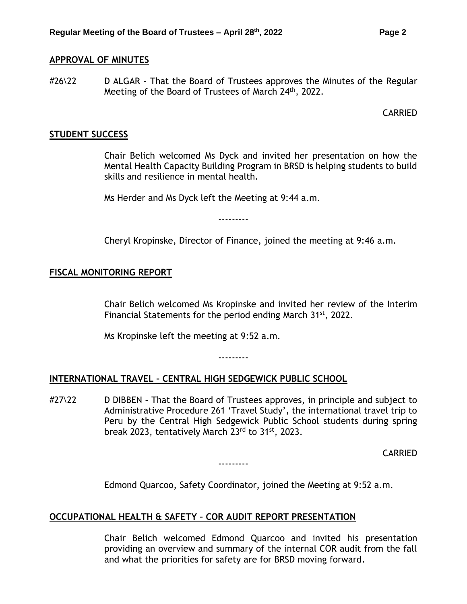#### <span id="page-1-0"></span>**APPROVAL OF MINUTES**

#26\22 D ALGAR – That the Board of Trustees approves the Minutes of the Regular Meeting of the Board of Trustees of March 24<sup>th</sup>, 2022.

CARRIED

#### <span id="page-1-1"></span>**STUDENT SUCCESS**

Chair Belich welcomed Ms Dyck and invited her presentation on how the Mental Health Capacity Building Program in BRSD is helping students to build skills and resilience in mental health.

Ms Herder and Ms Dyck left the Meeting at 9:44 a.m.

---------

Cheryl Kropinske, Director of Finance, joined the meeting at 9:46 a.m.

# <span id="page-1-2"></span>**FISCAL MONITORING REPORT**

Chair Belich welcomed Ms Kropinske and invited her review of the Interim Financial Statements for the period ending March 31<sup>st</sup>, 2022.

Ms Kropinske left the meeting at 9:52 a.m.

---------

## <span id="page-1-3"></span>**INTERNATIONAL TRAVEL – CENTRAL HIGH SEDGEWICK PUBLIC SCHOOL**

#27\22 D DIBBEN - That the Board of Trustees approves, in principle and subject to Administrative Procedure 261 'Travel Study', the international travel trip to Peru by the Central High Sedgewick Public School students during spring break 2023, tentatively March 23rd to 31st, 2023.

---------

CARRIED

Edmond Quarcoo, Safety Coordinator, joined the Meeting at 9:52 a.m.

## <span id="page-1-4"></span>**OCCUPATIONAL HEALTH & SAFETY – COR AUDIT REPORT PRESENTATION**

Chair Belich welcomed Edmond Quarcoo and invited his presentation providing an overview and summary of the internal COR audit from the fall and what the priorities for safety are for BRSD moving forward.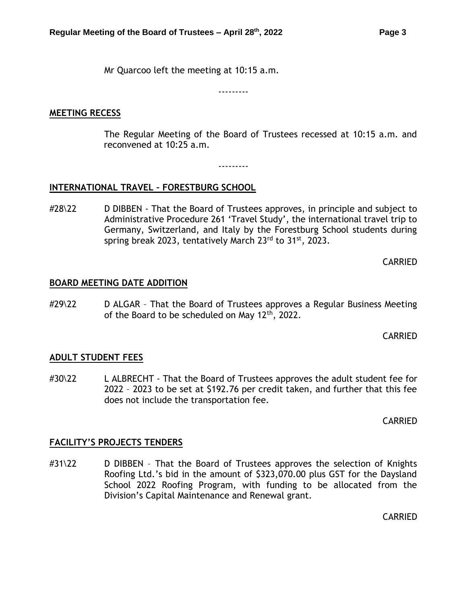Mr Quarcoo left the meeting at 10:15 a.m.

---------

#### **MEETING RECESS**

The Regular Meeting of the Board of Trustees recessed at 10:15 a.m. and reconvened at 10:25 a.m.

---------

## <span id="page-2-0"></span>**INTERNATIONAL TRAVEL – FORESTBURG SCHOOL**

#28\22 D DIBBEN - That the Board of Trustees approves, in principle and subject to Administrative Procedure 261 'Travel Study', the international travel trip to Germany, Switzerland, and Italy by the Forestburg School students during spring break 2023, tentatively March 23rd to 31<sup>st</sup>, 2023.

CARRIED

## <span id="page-2-1"></span>**BOARD MEETING DATE ADDITION**

#29\22 D ALGAR - That the Board of Trustees approves a Regular Business Meeting of the Board to be scheduled on May 12<sup>th</sup>, 2022.

CARRIED

## <span id="page-2-2"></span>**ADULT STUDENT FEES**

#30\22 L ALBRECHT - That the Board of Trustees approves the adult student fee for 2022 – 2023 to be set at \$192.76 per credit taken, and further that this fee does not include the transportation fee.

CARRIED

## <span id="page-2-3"></span>**FACILITY'S PROJECTS TENDERS**

#31\22 D DIBBEN - That the Board of Trustees approves the selection of Knights Roofing Ltd.'s bid in the amount of \$323,070.00 plus GST for the Daysland School 2022 Roofing Program, with funding to be allocated from the Division's Capital Maintenance and Renewal grant.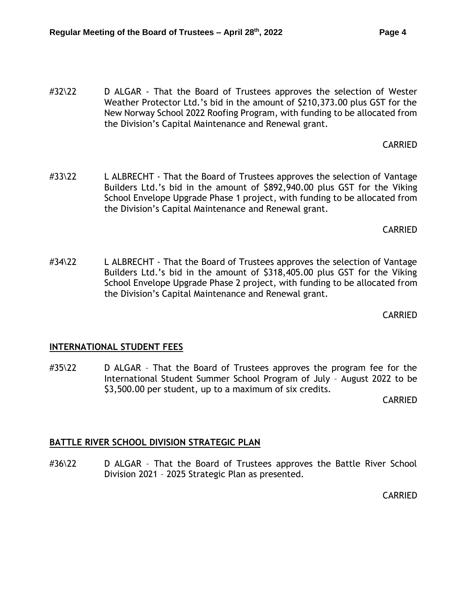#32\22 D ALGAR - That the Board of Trustees approves the selection of Wester Weather Protector Ltd.'s bid in the amount of \$210,373.00 plus GST for the New Norway School 2022 Roofing Program, with funding to be allocated from the Division's Capital Maintenance and Renewal grant.

CARRIED

#33\22 L ALBRECHT - That the Board of Trustees approves the selection of Vantage Builders Ltd.'s bid in the amount of \$892,940.00 plus GST for the Viking School Envelope Upgrade Phase 1 project, with funding to be allocated from the Division's Capital Maintenance and Renewal grant.

CARRIED

#34\22 L ALBRECHT - That the Board of Trustees approves the selection of Vantage Builders Ltd.'s bid in the amount of \$318,405.00 plus GST for the Viking School Envelope Upgrade Phase 2 project, with funding to be allocated from the Division's Capital Maintenance and Renewal grant.

CARRIED

## <span id="page-3-0"></span>**INTERNATIONAL STUDENT FEES**

#35\22 D ALGAR - That the Board of Trustees approves the program fee for the International Student Summer School Program of July – August 2022 to be \$3,500.00 per student, up to a maximum of six credits.

CARRIED

## <span id="page-3-1"></span>**BATTLE RIVER SCHOOL DIVISION STRATEGIC PLAN**

#36\22 D ALGAR - That the Board of Trustees approves the Battle River School Division 2021 – 2025 Strategic Plan as presented.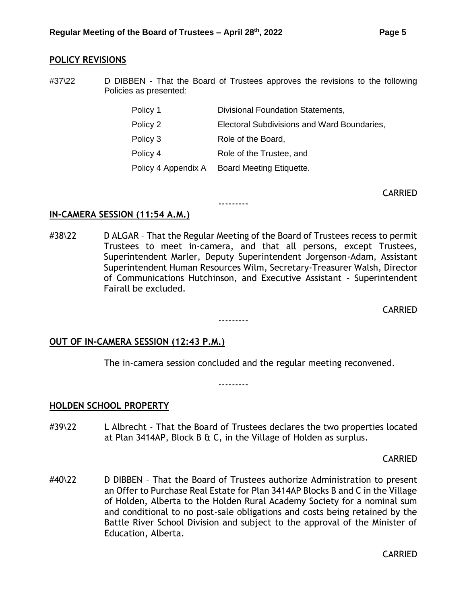#### <span id="page-4-0"></span>**POLICY REVISIONS**

#37\22 D DIBBEN - That the Board of Trustees approves the revisions to the following Policies as presented:

| Policy 1            | <b>Divisional Foundation Statements,</b>    |
|---------------------|---------------------------------------------|
| Policy 2            | Electoral Subdivisions and Ward Boundaries, |
| Policy 3            | Role of the Board,                          |
| Policy 4            | Role of the Trustee, and                    |
| Policy 4 Appendix A | Board Meeting Etiquette.                    |

CARRIED

#### **IN-CAMERA SESSION (11:54 A.M.)**

#38\22 D ALGAR – That the Regular Meeting of the Board of Trustees recess to permit Trustees to meet in-camera, and that all persons, except Trustees, Superintendent Marler, Deputy Superintendent Jorgenson-Adam, Assistant Superintendent Human Resources Wilm, Secretary-Treasurer Walsh, Director of Communications Hutchinson, and Executive Assistant – Superintendent Fairall be excluded.

---------

---------

CARRIED

#### **OUT OF IN-CAMERA SESSION (12:43 P.M.)**

The in-camera session concluded and the regular meeting reconvened.

---------

#### <span id="page-4-1"></span>**HOLDEN SCHOOL PROPERTY**

#39\22 L Albrecht - That the Board of Trustees declares the two properties located at Plan 3414AP, Block B & C, in the Village of Holden as surplus.

CARRIED

#40\22 D DIBBEN - That the Board of Trustees authorize Administration to present an Offer to Purchase Real Estate for Plan 3414AP Blocks B and C in the Village of Holden, Alberta to the Holden Rural Academy Society for a nominal sum and conditional to no post-sale obligations and costs being retained by the Battle River School Division and subject to the approval of the Minister of Education, Alberta.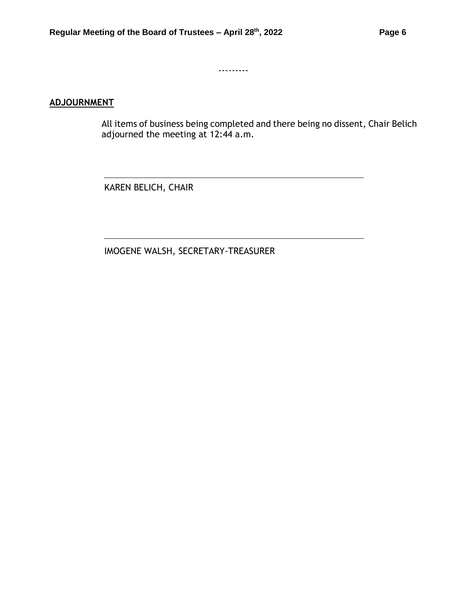---------

# **ADJOURNMENT**

All items of business being completed and there being no dissent, Chair Belich adjourned the meeting at 12:44 a.m.

KAREN BELICH, CHAIR

IMOGENE WALSH, SECRETARY-TREASURER